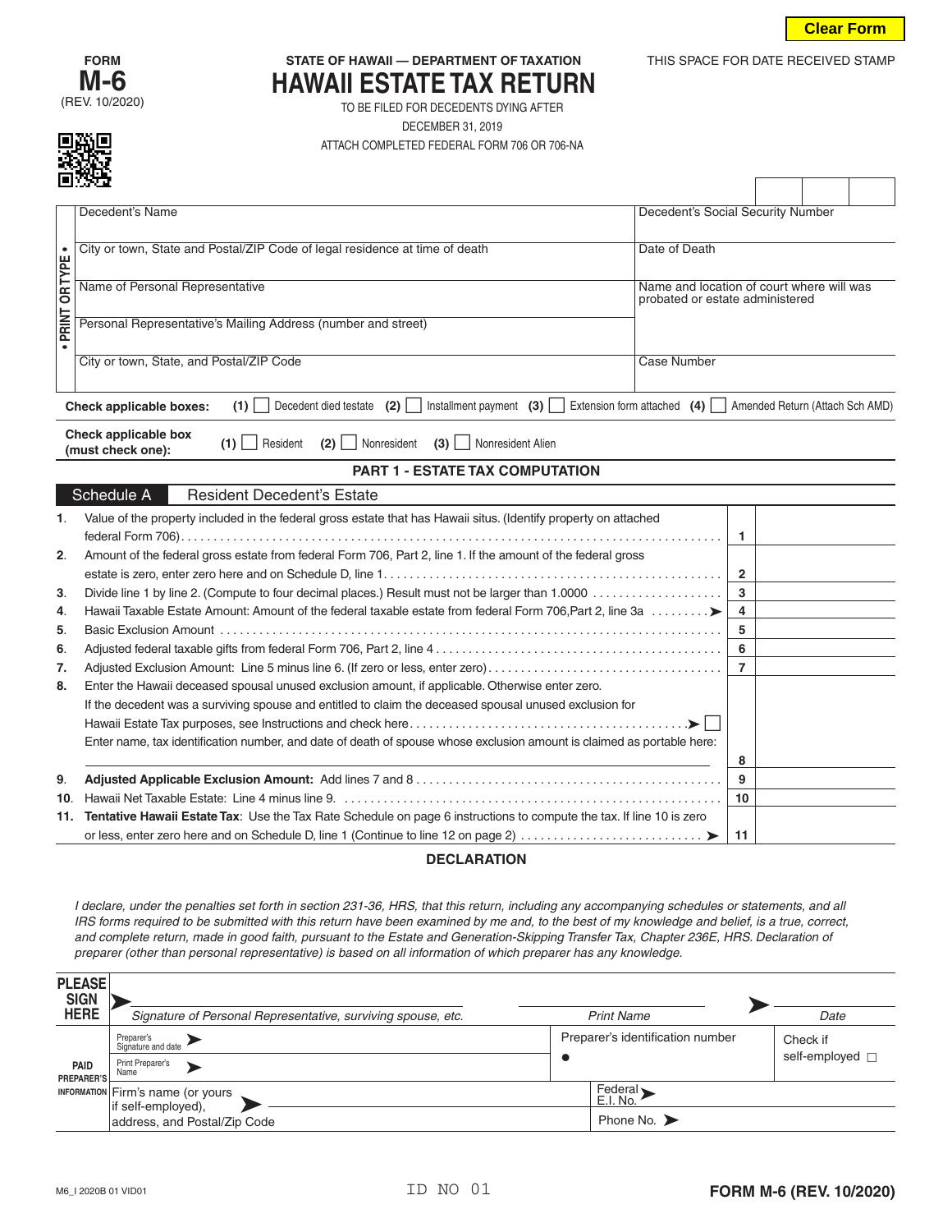THIS SPACE FOR DATE RECEIVED STAMP



## **STATE OF HAWAII — DEPARTMENT OF TAXATION HAWAII ESTATE TAX RETURN**

TO BE FILED FOR DECEDENTS DYING AFTER DECEMBER 31, 2019 ATTACH COMPLETED FEDERAL FORM 706 OR 706-NA

|               | للاتاكا                                                                                                                |                                                                                                                                                                                                                                                                                                                                                                                                                                                                                                                                                                                    |           |                                                               |                                           |  |                         |  |  |
|---------------|------------------------------------------------------------------------------------------------------------------------|------------------------------------------------------------------------------------------------------------------------------------------------------------------------------------------------------------------------------------------------------------------------------------------------------------------------------------------------------------------------------------------------------------------------------------------------------------------------------------------------------------------------------------------------------------------------------------|-----------|---------------------------------------------------------------|-------------------------------------------|--|-------------------------|--|--|
|               |                                                                                                                        | Decedent's Name                                                                                                                                                                                                                                                                                                                                                                                                                                                                                                                                                                    |           | Decedent's Social Security Number                             |                                           |  |                         |  |  |
|               |                                                                                                                        | City or town, State and Postal/ZIP Code of legal residence at time of death                                                                                                                                                                                                                                                                                                                                                                                                                                                                                                        |           | Date of Death                                                 |                                           |  |                         |  |  |
|               |                                                                                                                        | Name of Personal Representative                                                                                                                                                                                                                                                                                                                                                                                                                                                                                                                                                    |           |                                                               | Name and location of court where will was |  |                         |  |  |
|               |                                                                                                                        |                                                                                                                                                                                                                                                                                                                                                                                                                                                                                                                                                                                    |           | probated or estate administered                               |                                           |  |                         |  |  |
| PRINT OR TYPE |                                                                                                                        | Personal Representative's Mailing Address (number and street)                                                                                                                                                                                                                                                                                                                                                                                                                                                                                                                      |           |                                                               |                                           |  |                         |  |  |
|               |                                                                                                                        | City or town, State, and Postal/ZIP Code                                                                                                                                                                                                                                                                                                                                                                                                                                                                                                                                           |           | Case Number                                                   |                                           |  |                         |  |  |
|               |                                                                                                                        | Decedent died testate $(2)$<br>Installment payment $(3)$<br>Check applicable boxes:<br>$(1)$                                                                                                                                                                                                                                                                                                                                                                                                                                                                                       |           | Extension form attached $(4)$ Amended Return (Attach Sch AMD) |                                           |  |                         |  |  |
|               |                                                                                                                        | Check applicable box<br>Resident<br>$(1)$    <br>$(2)$   Nonresident<br>(3)<br>Nonresident Alien<br>(must check one):                                                                                                                                                                                                                                                                                                                                                                                                                                                              |           |                                                               |                                           |  |                         |  |  |
|               |                                                                                                                        | <b>PART 1 - ESTATE TAX COMPUTATION</b>                                                                                                                                                                                                                                                                                                                                                                                                                                                                                                                                             |           |                                                               |                                           |  |                         |  |  |
|               | Schedule A                                                                                                             | <b>Resident Decedent's Estate</b>                                                                                                                                                                                                                                                                                                                                                                                                                                                                                                                                                  |           |                                                               |                                           |  |                         |  |  |
| 1.            |                                                                                                                        | Value of the property included in the federal gross estate that has Hawaii situs. (Identify property on attached                                                                                                                                                                                                                                                                                                                                                                                                                                                                   |           |                                                               |                                           |  |                         |  |  |
|               |                                                                                                                        |                                                                                                                                                                                                                                                                                                                                                                                                                                                                                                                                                                                    |           |                                                               | 1                                         |  |                         |  |  |
| 2.            |                                                                                                                        | Amount of the federal gross estate from federal Form 706, Part 2, line 1. If the amount of the federal gross                                                                                                                                                                                                                                                                                                                                                                                                                                                                       |           |                                                               |                                           |  |                         |  |  |
|               |                                                                                                                        |                                                                                                                                                                                                                                                                                                                                                                                                                                                                                                                                                                                    |           |                                                               | $\overline{2}$                            |  |                         |  |  |
| 3.            |                                                                                                                        | Hawaii Taxable Estate Amount: Amount of the federal taxable estate from federal Form 706, Part 2, line 3a                                                                                                                                                                                                                                                                                                                                                                                                                                                                          |           |                                                               | 3<br>4                                    |  |                         |  |  |
| 4.<br>5.      |                                                                                                                        |                                                                                                                                                                                                                                                                                                                                                                                                                                                                                                                                                                                    |           |                                                               | 5                                         |  |                         |  |  |
| 6.            |                                                                                                                        |                                                                                                                                                                                                                                                                                                                                                                                                                                                                                                                                                                                    |           |                                                               | 6                                         |  |                         |  |  |
| 7.            |                                                                                                                        | Adjusted Exclusion Amount: Line 5 minus line 6. (If zero or less, enter zero)                                                                                                                                                                                                                                                                                                                                                                                                                                                                                                      |           |                                                               | $\overline{7}$                            |  |                         |  |  |
| 8.            |                                                                                                                        |                                                                                                                                                                                                                                                                                                                                                                                                                                                                                                                                                                                    |           |                                                               |                                           |  |                         |  |  |
|               |                                                                                                                        | Enter the Hawaii deceased spousal unused exclusion amount, if applicable. Otherwise enter zero.                                                                                                                                                                                                                                                                                                                                                                                                                                                                                    |           |                                                               |                                           |  |                         |  |  |
|               | If the decedent was a surviving spouse and entitled to claim the deceased spousal unused exclusion for                 |                                                                                                                                                                                                                                                                                                                                                                                                                                                                                                                                                                                    |           |                                                               |                                           |  |                         |  |  |
|               | Enter name, tax identification number, and date of death of spouse whose exclusion amount is claimed as portable here: |                                                                                                                                                                                                                                                                                                                                                                                                                                                                                                                                                                                    |           |                                                               |                                           |  |                         |  |  |
|               |                                                                                                                        |                                                                                                                                                                                                                                                                                                                                                                                                                                                                                                                                                                                    |           |                                                               | 8                                         |  |                         |  |  |
| 9.            |                                                                                                                        |                                                                                                                                                                                                                                                                                                                                                                                                                                                                                                                                                                                    |           |                                                               | 9                                         |  |                         |  |  |
| 10.           |                                                                                                                        |                                                                                                                                                                                                                                                                                                                                                                                                                                                                                                                                                                                    |           |                                                               | 10                                        |  |                         |  |  |
|               |                                                                                                                        | 11. Tentative Hawaii Estate Tax: Use the Tax Rate Schedule on page 6 instructions to compute the tax. If line 10 is zero                                                                                                                                                                                                                                                                                                                                                                                                                                                           |           |                                                               |                                           |  |                         |  |  |
|               |                                                                                                                        |                                                                                                                                                                                                                                                                                                                                                                                                                                                                                                                                                                                    |           |                                                               | 11                                        |  |                         |  |  |
|               |                                                                                                                        | <b>DECLARATION</b><br>I declare, under the penalties set forth in section 231-36, HRS, that this return, including any accompanying schedules or statements, and all<br>IRS forms required to be submitted with this return have been examined by me and, to the best of my knowledge and belief, is a true, correct,<br>and complete return, made in good faith, pursuant to the Estate and Generation-Skipping Transfer Tax, Chapter 236E, HRS. Declaration of<br>preparer (other than personal representative) is based on all information of which preparer has any knowledge. |           |                                                               |                                           |  |                         |  |  |
|               | <b>PLEASE</b><br><b>SIGN</b>                                                                                           |                                                                                                                                                                                                                                                                                                                                                                                                                                                                                                                                                                                    |           |                                                               |                                           |  |                         |  |  |
|               | <b>HERE</b>                                                                                                            | Signature of Personal Representative, surviving spouse, etc.                                                                                                                                                                                                                                                                                                                                                                                                                                                                                                                       |           | <b>Print Name</b>                                             |                                           |  | Date                    |  |  |
|               |                                                                                                                        | Preparer's<br>Signature and date                                                                                                                                                                                                                                                                                                                                                                                                                                                                                                                                                   |           | Preparer's identification number                              |                                           |  | Check if                |  |  |
|               | <b>PAID</b><br><b>PREPARER'S</b>                                                                                       | Print Preparer's<br>Name                                                                                                                                                                                                                                                                                                                                                                                                                                                                                                                                                           | $\bullet$ |                                                               |                                           |  | self-employed $\Box$    |  |  |
|               | <b>INFORMATION</b>                                                                                                     | Firm's name (or yours                                                                                                                                                                                                                                                                                                                                                                                                                                                                                                                                                              |           | Federal<br>E.I. No.                                           |                                           |  |                         |  |  |
|               |                                                                                                                        | if self-employed),<br>address, and Postal/Zip Code                                                                                                                                                                                                                                                                                                                                                                                                                                                                                                                                 |           | Phone No. $\blacktriangleright$                               |                                           |  |                         |  |  |
|               |                                                                                                                        |                                                                                                                                                                                                                                                                                                                                                                                                                                                                                                                                                                                    |           |                                                               |                                           |  |                         |  |  |
|               | M6_I 2020B 01 VID01                                                                                                    | ID NO 01                                                                                                                                                                                                                                                                                                                                                                                                                                                                                                                                                                           |           |                                                               |                                           |  | FORM M-6 (REV. 10/2020) |  |  |

## **DECLARATION**

| <b>PLEASE</b><br><b>SIGN</b><br><b>HERE</b> |                                                              |                                  |  |                             |  |  |
|---------------------------------------------|--------------------------------------------------------------|----------------------------------|--|-----------------------------|--|--|
|                                             | Signature of Personal Representative, surviving spouse, etc. | <b>Print Name</b>                |  | Date                        |  |  |
|                                             | Preparer's<br>Signature and date                             | Preparer's identification number |  | Check if<br>self-employed □ |  |  |
| PAID<br>PREPARER'S                          | Print Preparer's<br>Name                                     |                                  |  |                             |  |  |
|                                             | INFORMATION Firm's name (or yours<br>if self-employed),      | Federal<br>E.I. No.              |  |                             |  |  |
|                                             | address, and Postal/Zip Code                                 | Phone No. $\blacktriangleright$  |  |                             |  |  |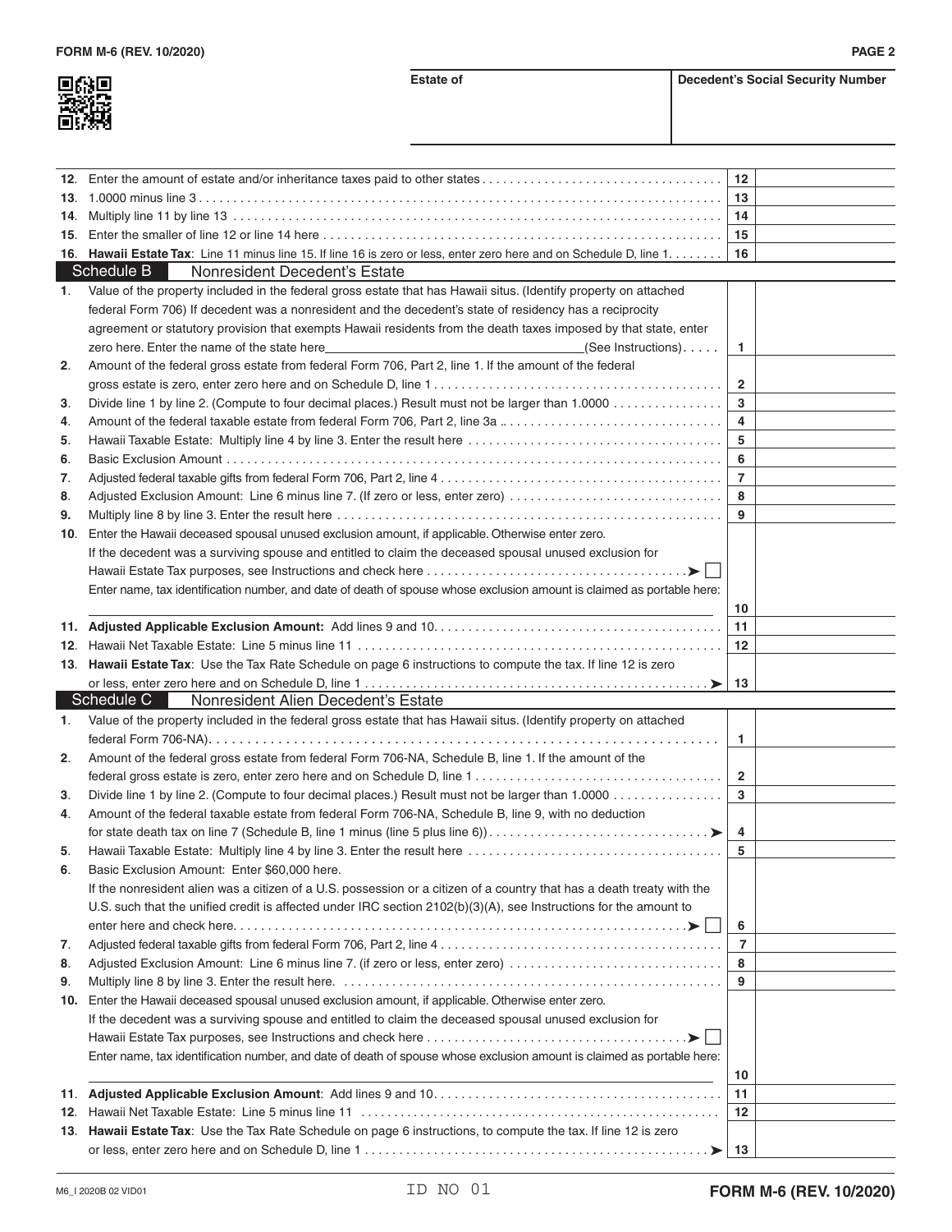| г<br>喉頭 |
|---------|
|         |
| I<br>65 |

| 12. |                                                                                                                        | 12 <sup>2</sup> |  |
|-----|------------------------------------------------------------------------------------------------------------------------|-----------------|--|
|     |                                                                                                                        | 13              |  |
| 14. |                                                                                                                        | 14              |  |
| 15. |                                                                                                                        | 15              |  |
|     | 16. Hawaii Estate Tax: Line 11 minus line 15. If line 16 is zero or less, enter zero here and on Schedule D, line 1.   | 16              |  |
|     | Schedule B<br>Nonresident Decedent's Estate                                                                            |                 |  |
| 1.  | Value of the property included in the federal gross estate that has Hawaii situs. (Identify property on attached       |                 |  |
|     | federal Form 706) If decedent was a nonresident and the decedent's state of residency has a reciprocity                |                 |  |
|     | agreement or statutory provision that exempts Hawaii residents from the death taxes imposed by that state, enter       |                 |  |
|     | (See Instructions).                                                                                                    | 1.              |  |
| 2.  | Amount of the federal gross estate from federal Form 706, Part 2, line 1. If the amount of the federal                 |                 |  |
|     |                                                                                                                        | $\mathbf{2}$    |  |
| 3.  | Divide line 1 by line 2. (Compute to four decimal places.) Result must not be larger than 1.0000                       | 3               |  |
| 4.  | Amount of the federal taxable estate from federal Form 706, Part 2, line 3a                                            | 4               |  |
| 5.  |                                                                                                                        | 5               |  |
| 6.  |                                                                                                                        | 6               |  |
| 7.  |                                                                                                                        | $\overline{7}$  |  |
| 8.  | Adjusted Exclusion Amount: Line 6 minus line 7. (If zero or less, enter zero)                                          | 8               |  |
| 9.  |                                                                                                                        | 9               |  |
| 10. | Enter the Hawaii deceased spousal unused exclusion amount, if applicable. Otherwise enter zero.                        |                 |  |
|     | If the decedent was a surviving spouse and entitled to claim the deceased spousal unused exclusion for                 |                 |  |
|     |                                                                                                                        |                 |  |
|     | Enter name, tax identification number, and date of death of spouse whose exclusion amount is claimed as portable here: |                 |  |
|     |                                                                                                                        | 10              |  |
|     |                                                                                                                        | 11              |  |
|     |                                                                                                                        | 12              |  |
|     | 13. Hawaii Estate Tax: Use the Tax Rate Schedule on page 6 instructions to compute the tax. If line 12 is zero         |                 |  |
|     |                                                                                                                        |                 |  |
|     |                                                                                                                        | 13              |  |
|     | Schedule C   Nonresident Alien Decedent's Estate                                                                       |                 |  |
| 1.  | Value of the property included in the federal gross estate that has Hawaii situs. (Identify property on attached       |                 |  |
|     |                                                                                                                        | 1               |  |
| 2.  | Amount of the federal gross estate from federal Form 706-NA, Schedule B, line 1. If the amount of the                  |                 |  |
|     |                                                                                                                        | $\mathbf{2}$    |  |
| 3.  | Divide line 1 by line 2. (Compute to four decimal places.) Result must not be larger than 1.0000                       | 3               |  |
| 4.  | Amount of the federal taxable estate from federal Form 706-NA, Schedule B, line 9, with no deduction                   |                 |  |
|     |                                                                                                                        | 4               |  |
| 5.  |                                                                                                                        | 5               |  |
| 6.  | Basic Exclusion Amount: Enter \$60,000 here.                                                                           |                 |  |
|     | If the nonresident alien was a citizen of a U.S. possession or a citizen of a country that has a death treaty with the |                 |  |
|     | U.S. such that the unified credit is affected under IRC section 2102(b)(3)(A), see Instructions for the amount to      |                 |  |
|     |                                                                                                                        | 6               |  |
| 7.  |                                                                                                                        | $\overline{7}$  |  |
| 8.  | Adjusted Exclusion Amount: Line 6 minus line 7. (if zero or less, enter zero)                                          | 8               |  |
| 9.  |                                                                                                                        | 9               |  |
| 10. | Enter the Hawaii deceased spousal unused exclusion amount, if applicable. Otherwise enter zero.                        |                 |  |
|     | If the decedent was a surviving spouse and entitled to claim the deceased spousal unused exclusion for                 |                 |  |
|     | . > I ∃                                                                                                                |                 |  |
|     | Enter name, tax identification number, and date of death of spouse whose exclusion amount is claimed as portable here: |                 |  |
|     |                                                                                                                        | 10              |  |
| 11. |                                                                                                                        | 11              |  |
| 12. |                                                                                                                        | $12 \,$         |  |
|     | 13. Hawaii Estate Tax: Use the Tax Rate Schedule on page 6 instructions, to compute the tax. If line 12 is zero        |                 |  |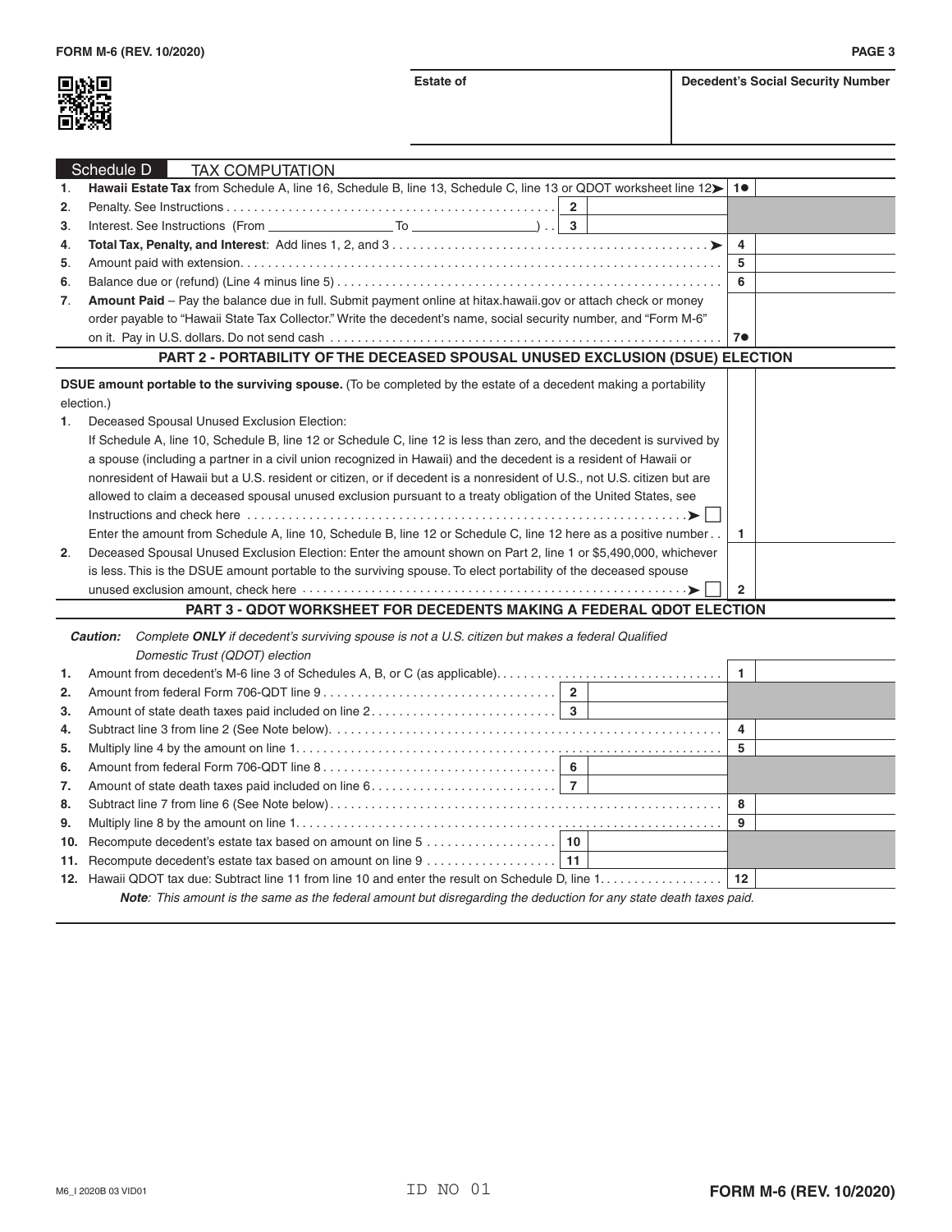

| Schedule D<br><b>TAX COMPUTATION</b>                                 |                                                                                                                         |                |  |  |
|----------------------------------------------------------------------|-------------------------------------------------------------------------------------------------------------------------|----------------|--|--|
| 1.                                                                   | Hawaii Estate Tax from Schedule A, line 16, Schedule B, line 13, Schedule C, line 13 or QDOT worksheet line 12>         | 1●             |  |  |
| 2.                                                                   |                                                                                                                         |                |  |  |
| 3.                                                                   |                                                                                                                         |                |  |  |
| 4.                                                                   |                                                                                                                         | $\overline{4}$ |  |  |
| 5.                                                                   |                                                                                                                         | 5              |  |  |
| 6.                                                                   |                                                                                                                         | 6              |  |  |
| 7.                                                                   | Amount Paid - Pay the balance due in full. Submit payment online at hitax.hawaii.gov or attach check or money           |                |  |  |
|                                                                      | order payable to "Hawaii State Tax Collector." Write the decedent's name, social security number, and "Form M-6"        |                |  |  |
|                                                                      |                                                                                                                         | 7●             |  |  |
|                                                                      | PART 2 - PORTABILITY OF THE DECEASED SPOUSAL UNUSED EXCLUSION (DSUE) ELECTION                                           |                |  |  |
|                                                                      | <b>DSUE amount portable to the surviving spouse.</b> (To be completed by the estate of a decedent making a portability  |                |  |  |
|                                                                      | election.)                                                                                                              |                |  |  |
| 1.                                                                   | Deceased Spousal Unused Exclusion Election:                                                                             |                |  |  |
|                                                                      | If Schedule A, line 10, Schedule B, line 12 or Schedule C, line 12 is less than zero, and the decedent is survived by   |                |  |  |
|                                                                      | a spouse (including a partner in a civil union recognized in Hawaii) and the decedent is a resident of Hawaii or        |                |  |  |
|                                                                      | nonresident of Hawaii but a U.S. resident or citizen, or if decedent is a nonresident of U.S., not U.S. citizen but are |                |  |  |
|                                                                      | allowed to claim a deceased spousal unused exclusion pursuant to a treaty obligation of the United States, see          |                |  |  |
|                                                                      |                                                                                                                         |                |  |  |
|                                                                      | Enter the amount from Schedule A, line 10, Schedule B, line 12 or Schedule C, line 12 here as a positive number         | $\mathbf{1}$   |  |  |
| 2.                                                                   | Deceased Spousal Unused Exclusion Election: Enter the amount shown on Part 2, line 1 or \$5,490,000, whichever          |                |  |  |
|                                                                      | is less. This is the DSUE amount portable to the surviving spouse. To elect portability of the deceased spouse          |                |  |  |
|                                                                      | unused exclusion amount, check here with the contract of the contract of the set of the set of the contract of          | $\overline{2}$ |  |  |
| PART 3 - QDOT WORKSHEET FOR DECEDENTS MAKING A FEDERAL QDOT ELECTION |                                                                                                                         |                |  |  |
|                                                                      | Complete ONLY if decedent's surviving spouse is not a U.S. citizen but makes a federal Qualified<br>Caution:            |                |  |  |
|                                                                      | Domestic Trust (QDOT) election                                                                                          |                |  |  |
|                                                                      | 1. Amount from decedent's M-6 line 3 of Schedules A, B, or C (as applicable)                                            | 1              |  |  |

| 1. |                                                                                                                           |   |  |
|----|---------------------------------------------------------------------------------------------------------------------------|---|--|
| 2. |                                                                                                                           |   |  |
| 3. |                                                                                                                           |   |  |
| 4. |                                                                                                                           |   |  |
| 5. |                                                                                                                           | 5 |  |
| 6. |                                                                                                                           |   |  |
| 7. |                                                                                                                           |   |  |
| 8. |                                                                                                                           | 8 |  |
| 9. |                                                                                                                           | 9 |  |
|    |                                                                                                                           |   |  |
|    |                                                                                                                           |   |  |
|    |                                                                                                                           |   |  |
|    | <b>Note:</b> This amount is the same as the federal amount but disregarding the deduction for any state death taxes paid. |   |  |
|    |                                                                                                                           |   |  |